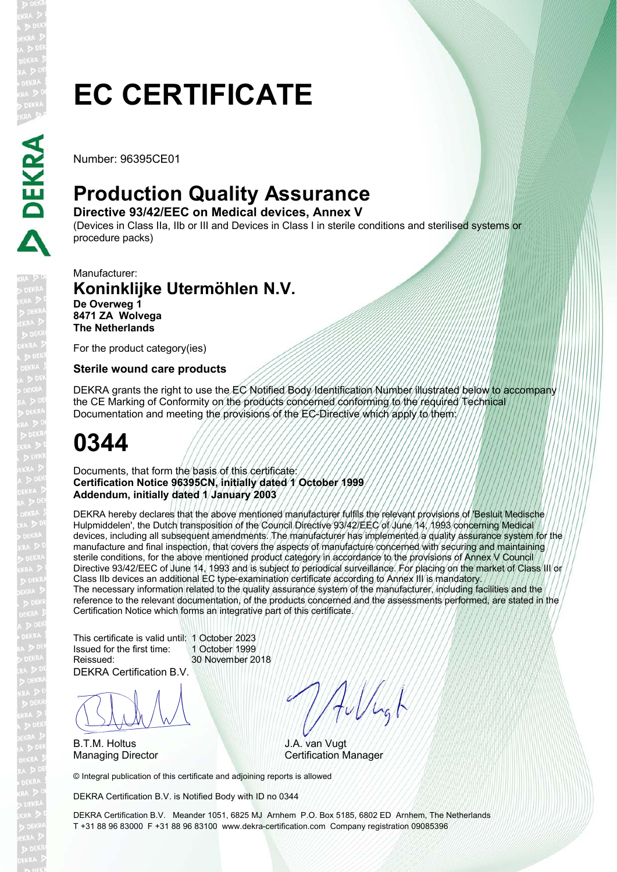# **EC CERTIFICATE**

Number: 96395CE01

## **Production Quality Assurance**

**Directive 93/42/EEC on Medical devices, Annex V** 

(Devices in Class IIa, IIb or III and Devices in Class I in sterile conditions and sterilised systems or procedure packs)

Manufacturer:

#### **Koninklijke Utermöhlen N.V. De Overweg 1 8471 ZA Wolvega The Netherlands**

For the product category(ies)

#### **Sterile wound care products**

DEKRA grants the right to use the EC Notified Body Identification Number illustrated below to accompany the CE Marking of Conformity on the products concerned conforming to the required Technical Documentation and meeting the provisions of the EC-Directive which apply to them:

# **0344**

Documents, that form the basis of this certificate: **Certification Notice 96395CN, initially dated 1 October 1999 Addendum, initially dated 1 January 2003**

DEKRA hereby declares that the above mentioned manufacturer fulfils the relevant provisions of 'Besluit Medische Hulpmiddelen', the Dutch transposition of the Council Directive 93/42/EEC of June 14, 1993 concerning Medical devices, including all subsequent amendments. The manufacturer has implemented a quality assurance system for the manufacture and final inspection, that covers the aspects of manufacture concerned with securing and maintaining sterile conditions, for the above mentioned product category in accordance to the provisions of Annex V Council Directive 93/42/EEC of June 14, 1993 and is subject to periodical surveillance. For placing on the market of Class III or Class IIb devices an additional EC type-examination certificate according to Annex III is mandatory. The necessary information related to the quality assurance system of the manufacturer, including facilities and the reference to the relevant documentation, of the products concerned and the assessments performed, are stated in the Certification Notice which forms an integrative part of this certificate.

DEKRA Certification B.V. This certificate is valid until: 1 October 2023 Issued for the first time: 1 October 1999 Reissued: 30 November 2018

BLAN

B.T.M. Holtus

Aullugh

J.A. van Vugt Managing Director **Certification Manager** 

© Integral publication of this certificate and adjoining reports is allowed

DEKRA Certification B.V. is Notified Body with ID no 0344

DEKRA Certification B.V. Meander 1051, 6825 MJ Arnhem P.O. Box 5185, 6802 ED Arnhem, The Netherlands T +31 88 96 83000 F +31 88 96 83100 www.dekra-certification.com Company registration 09085396